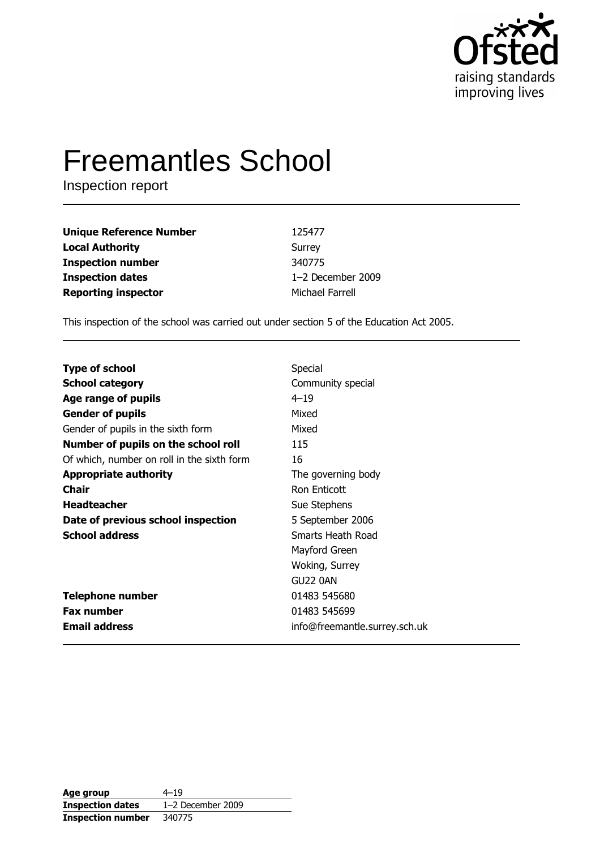

# **Freemantles School**

Inspection report

| <b>Unique Reference Number</b> | 125477            |
|--------------------------------|-------------------|
| <b>Local Authority</b>         | Surrey            |
| <b>Inspection number</b>       | 340775            |
| <b>Inspection dates</b>        | 1-2 December 2009 |
| <b>Reporting inspector</b>     | Michael Farrell   |

This inspection of the school was carried out under section 5 of the Education Act 2005.

| <b>Type of school</b>                      | Special                       |
|--------------------------------------------|-------------------------------|
| <b>School category</b>                     | Community special             |
| Age range of pupils                        | $4 - 19$                      |
| <b>Gender of pupils</b>                    | Mixed                         |
| Gender of pupils in the sixth form         | Mixed                         |
| Number of pupils on the school roll        | 115                           |
| Of which, number on roll in the sixth form | 16                            |
| <b>Appropriate authority</b>               | The governing body            |
| <b>Chair</b>                               | <b>Ron Enticott</b>           |
| <b>Headteacher</b>                         | Sue Stephens                  |
| Date of previous school inspection         | 5 September 2006              |
| <b>School address</b>                      | Smarts Heath Road             |
|                                            | Mayford Green                 |
|                                            | Woking, Surrey                |
|                                            | GU22 0AN                      |
| <b>Telephone number</b>                    | 01483 545680                  |
| <b>Fax number</b>                          | 01483 545699                  |
| <b>Email address</b>                       | info@freemantle.surrey.sch.uk |

| Age group                | $4 - 19$            |
|--------------------------|---------------------|
| <b>Inspection dates</b>  | $1-2$ December 2009 |
| <b>Inspection number</b> | 340775              |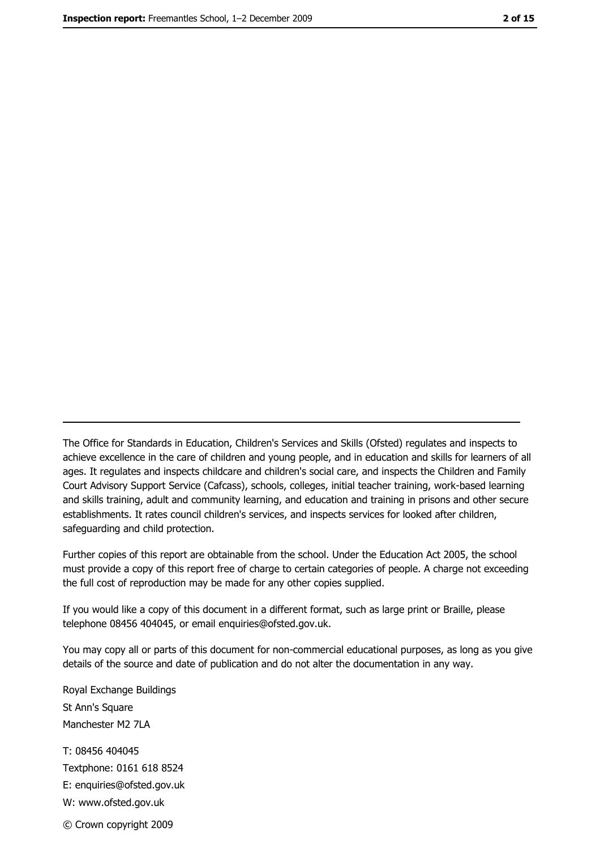The Office for Standards in Education, Children's Services and Skills (Ofsted) regulates and inspects to achieve excellence in the care of children and young people, and in education and skills for learners of all ages. It regulates and inspects childcare and children's social care, and inspects the Children and Family Court Advisory Support Service (Cafcass), schools, colleges, initial teacher training, work-based learning and skills training, adult and community learning, and education and training in prisons and other secure establishments. It rates council children's services, and inspects services for looked after children, safequarding and child protection.

Further copies of this report are obtainable from the school. Under the Education Act 2005, the school must provide a copy of this report free of charge to certain categories of people. A charge not exceeding the full cost of reproduction may be made for any other copies supplied.

If you would like a copy of this document in a different format, such as large print or Braille, please telephone 08456 404045, or email enquiries@ofsted.gov.uk.

You may copy all or parts of this document for non-commercial educational purposes, as long as you give details of the source and date of publication and do not alter the documentation in any way.

Royal Exchange Buildings St Ann's Square Manchester M2 7LA T: 08456 404045 Textphone: 0161 618 8524 E: enquiries@ofsted.gov.uk W: www.ofsted.gov.uk © Crown copyright 2009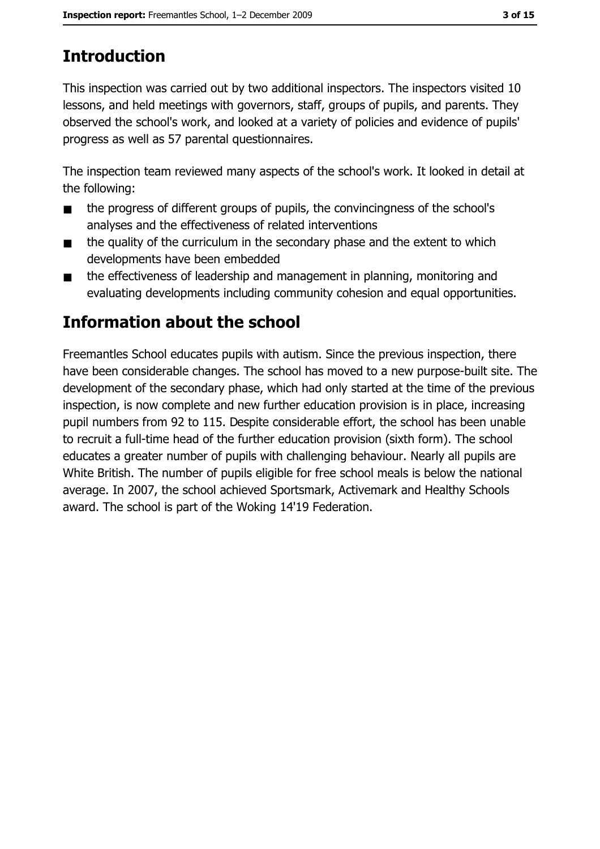# **Introduction**

This inspection was carried out by two additional inspectors. The inspectors visited 10 lessons, and held meetings with governors, staff, groups of pupils, and parents. They observed the school's work, and looked at a variety of policies and evidence of pupils' progress as well as 57 parental questionnaires.

The inspection team reviewed many aspects of the school's work. It looked in detail at the following:

- the progress of different groups of pupils, the convincingness of the school's  $\blacksquare$ analyses and the effectiveness of related interventions
- the quality of the curriculum in the secondary phase and the extent to which  $\blacksquare$ developments have been embedded
- the effectiveness of leadership and management in planning, monitoring and  $\blacksquare$ evaluating developments including community cohesion and equal opportunities.

# Information about the school

Freemantles School educates pupils with autism. Since the previous inspection, there have been considerable changes. The school has moved to a new purpose-built site. The development of the secondary phase, which had only started at the time of the previous inspection, is now complete and new further education provision is in place, increasing pupil numbers from 92 to 115. Despite considerable effort, the school has been unable to recruit a full-time head of the further education provision (sixth form). The school educates a greater number of pupils with challenging behaviour. Nearly all pupils are White British. The number of pupils eligible for free school meals is below the national average. In 2007, the school achieved Sportsmark, Activemark and Healthy Schools award. The school is part of the Woking 14'19 Federation.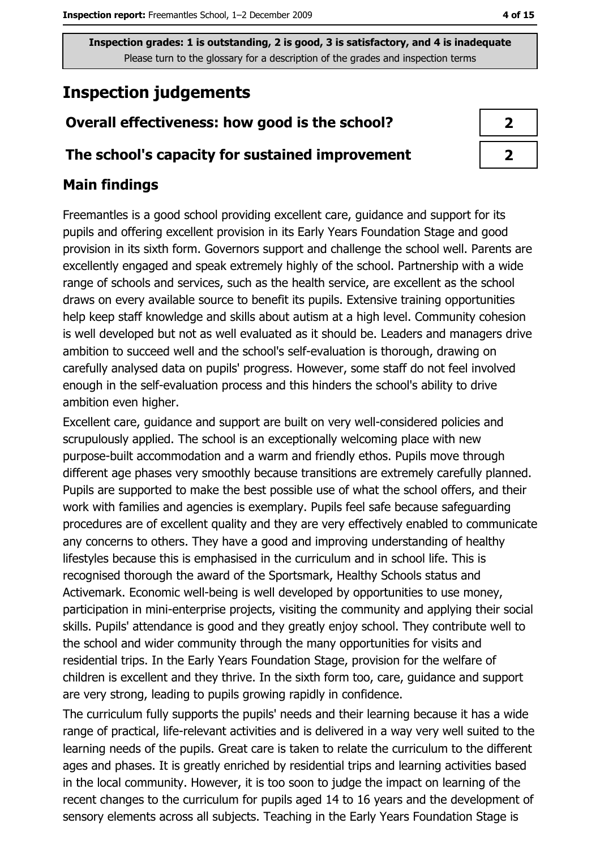# **Inspection judgements**

# Overall effectiveness: how good is the school?

### The school's capacity for sustained improvement

# **Main findings**

Freemantles is a good school providing excellent care, guidance and support for its pupils and offering excellent provision in its Early Years Foundation Stage and good provision in its sixth form. Governors support and challenge the school well. Parents are excellently engaged and speak extremely highly of the school. Partnership with a wide range of schools and services, such as the health service, are excellent as the school draws on every available source to benefit its pupils. Extensive training opportunities help keep staff knowledge and skills about autism at a high level. Community cohesion is well developed but not as well evaluated as it should be. Leaders and managers drive ambition to succeed well and the school's self-evaluation is thorough, drawing on carefully analysed data on pupils' progress. However, some staff do not feel involved enough in the self-evaluation process and this hinders the school's ability to drive ambition even higher.

Excellent care, guidance and support are built on very well-considered policies and scrupulously applied. The school is an exceptionally welcoming place with new purpose-built accommodation and a warm and friendly ethos. Pupils move through different age phases very smoothly because transitions are extremely carefully planned. Pupils are supported to make the best possible use of what the school offers, and their work with families and agencies is exemplary. Pupils feel safe because safeguarding procedures are of excellent quality and they are very effectively enabled to communicate any concerns to others. They have a good and improving understanding of healthy lifestyles because this is emphasised in the curriculum and in school life. This is recognised thorough the award of the Sportsmark, Healthy Schools status and Activemark. Economic well-being is well developed by opportunities to use money, participation in mini-enterprise projects, visiting the community and applying their social skills. Pupils' attendance is good and they greatly enjoy school. They contribute well to the school and wider community through the many opportunities for visits and residential trips. In the Early Years Foundation Stage, provision for the welfare of children is excellent and they thrive. In the sixth form too, care, guidance and support are very strong, leading to pupils growing rapidly in confidence.

The curriculum fully supports the pupils' needs and their learning because it has a wide range of practical, life-relevant activities and is delivered in a way very well suited to the learning needs of the pupils. Great care is taken to relate the curriculum to the different ages and phases. It is greatly enriched by residential trips and learning activities based in the local community. However, it is too soon to judge the impact on learning of the recent changes to the curriculum for pupils aged 14 to 16 years and the development of sensory elements across all subjects. Teaching in the Early Years Foundation Stage is

| 2 |  |
|---|--|
| 7 |  |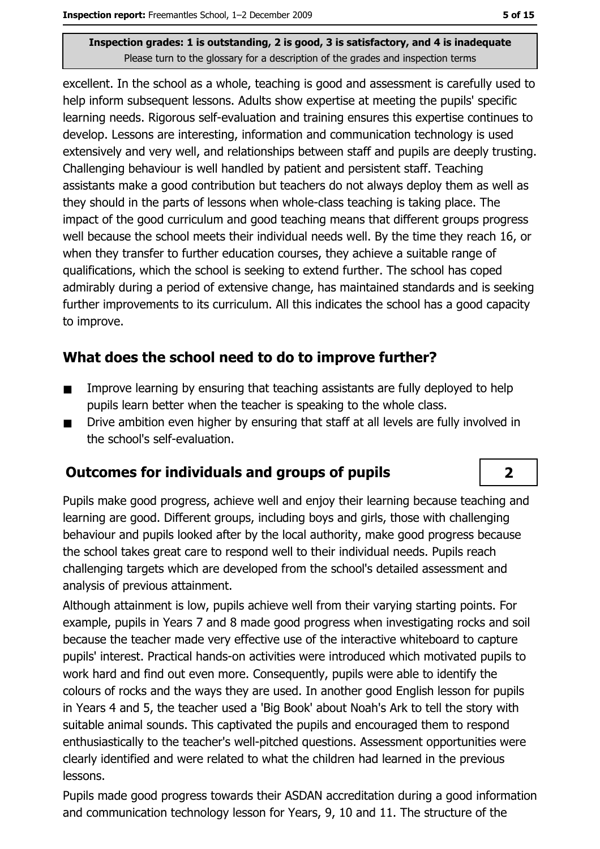excellent. In the school as a whole, teaching is good and assessment is carefully used to help inform subsequent lessons. Adults show expertise at meeting the pupils' specific learning needs. Rigorous self-evaluation and training ensures this expertise continues to develop. Lessons are interesting, information and communication technology is used extensively and very well, and relationships between staff and pupils are deeply trusting. Challenging behaviour is well handled by patient and persistent staff. Teaching assistants make a good contribution but teachers do not always deploy them as well as they should in the parts of lessons when whole-class teaching is taking place. The impact of the good curriculum and good teaching means that different groups progress well because the school meets their individual needs well. By the time they reach 16, or when they transfer to further education courses, they achieve a suitable range of qualifications, which the school is seeking to extend further. The school has coped admirably during a period of extensive change, has maintained standards and is seeking further improvements to its curriculum. All this indicates the school has a good capacity to improve.

## What does the school need to do to improve further?

- Improve learning by ensuring that teaching assistants are fully deployed to help  $\blacksquare$ pupils learn better when the teacher is speaking to the whole class.
- Drive ambition even higher by ensuring that staff at all levels are fully involved in  $\blacksquare$ the school's self-evaluation.

## Outcomes for individuals and groups of pupils

Pupils make good progress, achieve well and enjoy their learning because teaching and learning are good. Different groups, including boys and girls, those with challenging behaviour and pupils looked after by the local authority, make good progress because the school takes great care to respond well to their individual needs. Pupils reach challenging targets which are developed from the school's detailed assessment and analysis of previous attainment.

Although attainment is low, pupils achieve well from their varying starting points. For example, pupils in Years 7 and 8 made good progress when investigating rocks and soil because the teacher made very effective use of the interactive whiteboard to capture pupils' interest. Practical hands-on activities were introduced which motivated pupils to work hard and find out even more. Consequently, pupils were able to identify the colours of rocks and the ways they are used. In another good English lesson for pupils in Years 4 and 5, the teacher used a 'Big Book' about Noah's Ark to tell the story with suitable animal sounds. This captivated the pupils and encouraged them to respond enthusiastically to the teacher's well-pitched questions. Assessment opportunities were clearly identified and were related to what the children had learned in the previous lessons.

Pupils made good progress towards their ASDAN accreditation during a good information and communication technology lesson for Years, 9, 10 and 11. The structure of the

 $\overline{2}$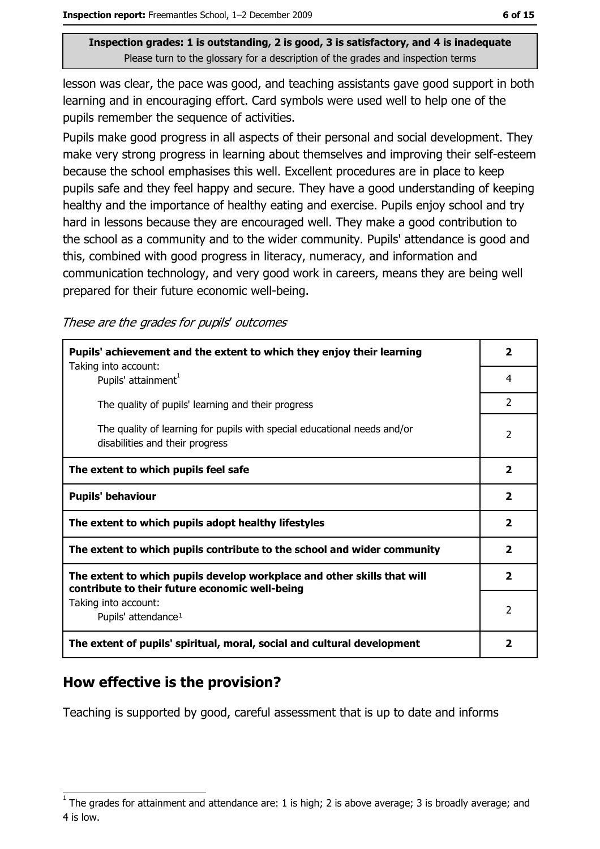lesson was clear, the pace was good, and teaching assistants gave good support in both learning and in encouraging effort. Card symbols were used well to help one of the pupils remember the sequence of activities.

Pupils make good progress in all aspects of their personal and social development. They make very strong progress in learning about themselves and improving their self-esteem because the school emphasises this well. Excellent procedures are in place to keep pupils safe and they feel happy and secure. They have a good understanding of keeping healthy and the importance of healthy eating and exercise. Pupils enjoy school and try hard in lessons because they are encouraged well. They make a good contribution to the school as a community and to the wider community. Pupils' attendance is good and this, combined with good progress in literacy, numeracy, and information and communication technology, and very good work in careers, means they are being well prepared for their future economic well-being.

These are the grades for pupils' outcomes

| Pupils' achievement and the extent to which they enjoy their learning                                                     |                         |  |
|---------------------------------------------------------------------------------------------------------------------------|-------------------------|--|
| Taking into account:<br>Pupils' attainment <sup>1</sup>                                                                   | 4                       |  |
| The quality of pupils' learning and their progress                                                                        | $\mathcal{P}$           |  |
| The quality of learning for pupils with special educational needs and/or<br>disabilities and their progress               | $\overline{2}$          |  |
| The extent to which pupils feel safe                                                                                      | $\overline{\mathbf{2}}$ |  |
| <b>Pupils' behaviour</b>                                                                                                  | $\mathbf{2}$            |  |
| The extent to which pupils adopt healthy lifestyles                                                                       | $\overline{2}$          |  |
| The extent to which pupils contribute to the school and wider community                                                   |                         |  |
| The extent to which pupils develop workplace and other skills that will<br>contribute to their future economic well-being | $\overline{\mathbf{2}}$ |  |
| Taking into account:<br>Pupils' attendance <sup>1</sup>                                                                   |                         |  |
| The extent of pupils' spiritual, moral, social and cultural development                                                   |                         |  |

## How effective is the provision?

Teaching is supported by good, careful assessment that is up to date and informs

The grades for attainment and attendance are: 1 is high; 2 is above average; 3 is broadly average; and 4 is low.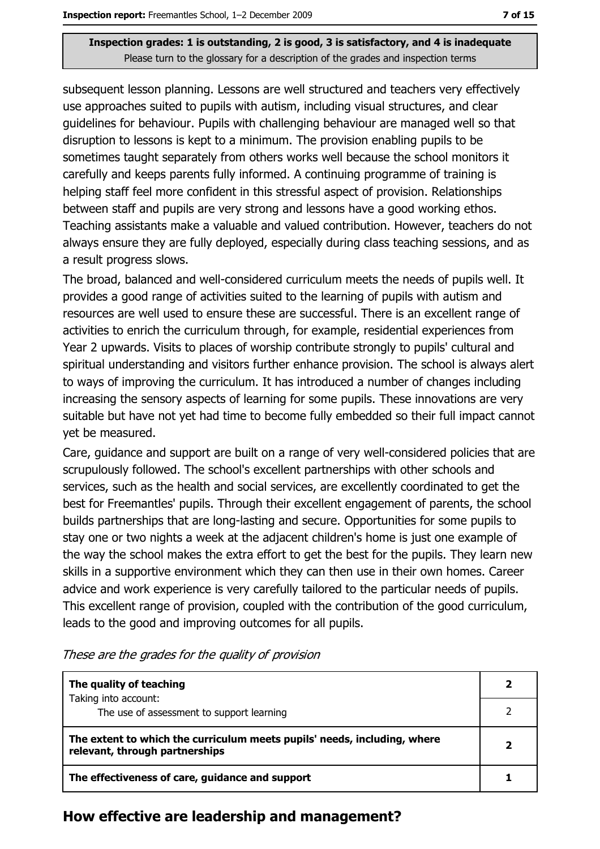subsequent lesson planning. Lessons are well structured and teachers very effectively use approaches suited to pupils with autism, including visual structures, and clear guidelines for behaviour. Pupils with challenging behaviour are managed well so that disruption to lessons is kept to a minimum. The provision enabling pupils to be sometimes taught separately from others works well because the school monitors it carefully and keeps parents fully informed. A continuing programme of training is helping staff feel more confident in this stressful aspect of provision. Relationships between staff and pupils are very strong and lessons have a good working ethos. Teaching assistants make a valuable and valued contribution. However, teachers do not always ensure they are fully deployed, especially during class teaching sessions, and as a result progress slows.

The broad, balanced and well-considered curriculum meets the needs of pupils well. It provides a good range of activities suited to the learning of pupils with autism and resources are well used to ensure these are successful. There is an excellent range of activities to enrich the curriculum through, for example, residential experiences from Year 2 upwards. Visits to places of worship contribute strongly to pupils' cultural and spiritual understanding and visitors further enhance provision. The school is always alert to ways of improving the curriculum. It has introduced a number of changes including increasing the sensory aspects of learning for some pupils. These innovations are very suitable but have not yet had time to become fully embedded so their full impact cannot yet be measured.

Care, guidance and support are built on a range of very well-considered policies that are scrupulously followed. The school's excellent partnerships with other schools and services, such as the health and social services, are excellently coordinated to get the best for Freemantles' pupils. Through their excellent engagement of parents, the school builds partnerships that are long-lasting and secure. Opportunities for some pupils to stay one or two nights a week at the adjacent children's home is just one example of the way the school makes the extra effort to get the best for the pupils. They learn new skills in a supportive environment which they can then use in their own homes. Career advice and work experience is very carefully tailored to the particular needs of pupils. This excellent range of provision, coupled with the contribution of the good curriculum, leads to the good and improving outcomes for all pupils.

| The quality of teaching                                                                                    |  |
|------------------------------------------------------------------------------------------------------------|--|
| Taking into account:<br>The use of assessment to support learning                                          |  |
| The extent to which the curriculum meets pupils' needs, including, where<br>relevant, through partnerships |  |
| The effectiveness of care, guidance and support                                                            |  |

These are the grades for the quality of provision

#### How effective are leadership and management?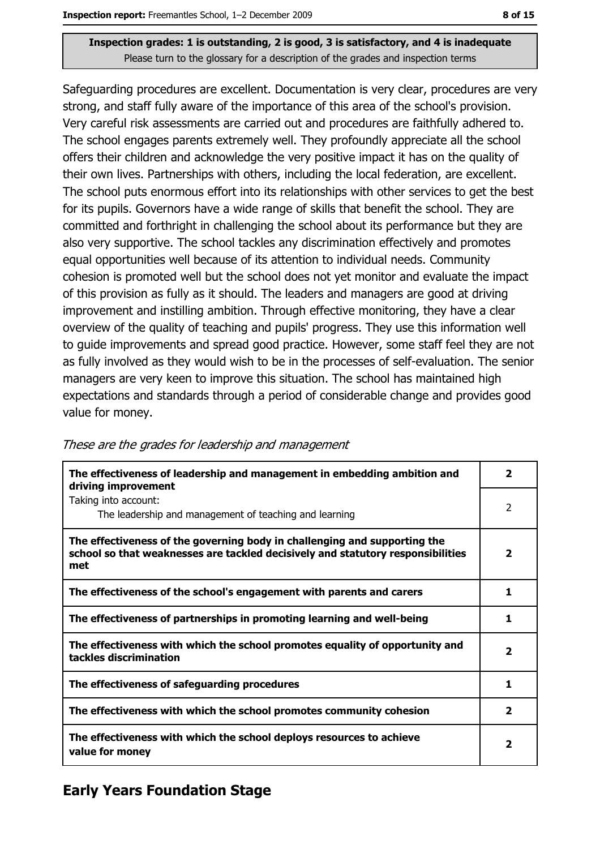Safeguarding procedures are excellent. Documentation is very clear, procedures are very strong, and staff fully aware of the importance of this area of the school's provision. Very careful risk assessments are carried out and procedures are faithfully adhered to. The school engages parents extremely well. They profoundly appreciate all the school offers their children and acknowledge the very positive impact it has on the quality of their own lives. Partnerships with others, including the local federation, are excellent. The school puts enormous effort into its relationships with other services to get the best for its pupils. Governors have a wide range of skills that benefit the school. They are committed and forthright in challenging the school about its performance but they are also very supportive. The school tackles any discrimination effectively and promotes equal opportunities well because of its attention to individual needs. Community cohesion is promoted well but the school does not yet monitor and evaluate the impact of this provision as fully as it should. The leaders and managers are good at driving improvement and instilling ambition. Through effective monitoring, they have a clear overview of the quality of teaching and pupils' progress. They use this information well to guide improvements and spread good practice. However, some staff feel they are not as fully involved as they would wish to be in the processes of self-evaluation. The senior managers are very keen to improve this situation. The school has maintained high expectations and standards through a period of considerable change and provides good value for money.

| The effectiveness of leadership and management in embedding ambition and<br>driving improvement                                                                     | $\overline{\mathbf{2}}$ |
|---------------------------------------------------------------------------------------------------------------------------------------------------------------------|-------------------------|
| Taking into account:<br>The leadership and management of teaching and learning                                                                                      | 2                       |
| The effectiveness of the governing body in challenging and supporting the<br>school so that weaknesses are tackled decisively and statutory responsibilities<br>met | $\mathbf{2}$            |
| The effectiveness of the school's engagement with parents and carers                                                                                                | 1                       |
| The effectiveness of partnerships in promoting learning and well-being                                                                                              | 1                       |
| The effectiveness with which the school promotes equality of opportunity and<br>tackles discrimination                                                              | 2                       |
| The effectiveness of safeguarding procedures                                                                                                                        | 1                       |
| The effectiveness with which the school promotes community cohesion                                                                                                 | $\overline{2}$          |
| The effectiveness with which the school deploys resources to achieve<br>value for money                                                                             | 2                       |

#### These are the grades for leadership and management

# **Early Years Foundation Stage**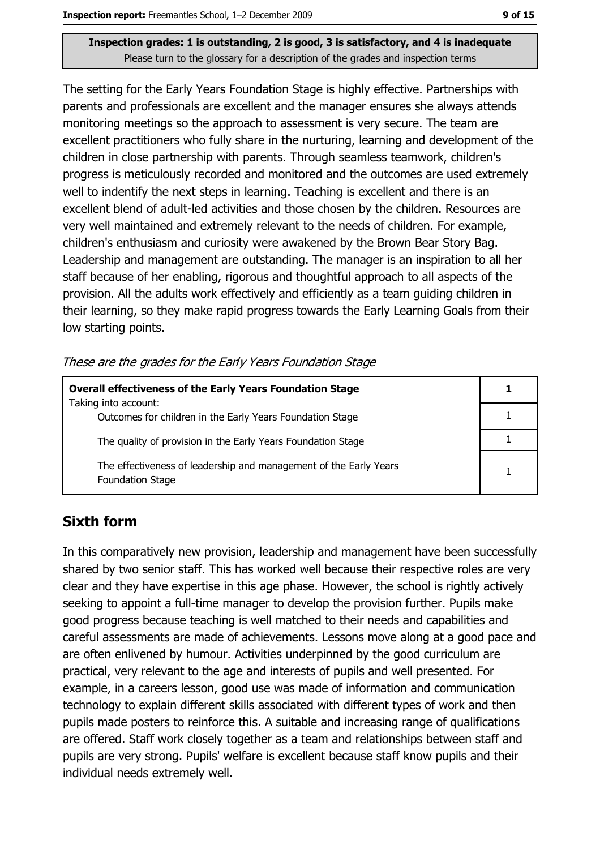The setting for the Early Years Foundation Stage is highly effective. Partnerships with parents and professionals are excellent and the manager ensures she always attends monitoring meetings so the approach to assessment is very secure. The team are excellent practitioners who fully share in the nurturing, learning and development of the children in close partnership with parents. Through seamless teamwork, children's progress is meticulously recorded and monitored and the outcomes are used extremely well to indentify the next steps in learning. Teaching is excellent and there is an excellent blend of adult-led activities and those chosen by the children. Resources are very well maintained and extremely relevant to the needs of children. For example, children's enthusiasm and curiosity were awakened by the Brown Bear Story Bag. Leadership and management are outstanding. The manager is an inspiration to all her staff because of her enabling, rigorous and thoughtful approach to all aspects of the provision. All the adults work effectively and efficiently as a team guiding children in their learning, so they make rapid progress towards the Early Learning Goals from their low starting points.

These are the grades for the Early Years Foundation Stage

| <b>Overall effectiveness of the Early Years Foundation Stage</b><br>Taking into account:     |  |  |
|----------------------------------------------------------------------------------------------|--|--|
| Outcomes for children in the Early Years Foundation Stage                                    |  |  |
| The quality of provision in the Early Years Foundation Stage                                 |  |  |
| The effectiveness of leadership and management of the Early Years<br><b>Foundation Stage</b> |  |  |

## **Sixth form**

In this comparatively new provision, leadership and management have been successfully shared by two senior staff. This has worked well because their respective roles are very clear and they have expertise in this age phase. However, the school is rightly actively seeking to appoint a full-time manager to develop the provision further. Pupils make good progress because teaching is well matched to their needs and capabilities and careful assessments are made of achievements. Lessons move along at a good pace and are often enlivened by humour. Activities underpinned by the good curriculum are practical, very relevant to the age and interests of pupils and well presented. For example, in a careers lesson, good use was made of information and communication technology to explain different skills associated with different types of work and then pupils made posters to reinforce this. A suitable and increasing range of qualifications are offered. Staff work closely together as a team and relationships between staff and pupils are very strong. Pupils' welfare is excellent because staff know pupils and their individual needs extremely well.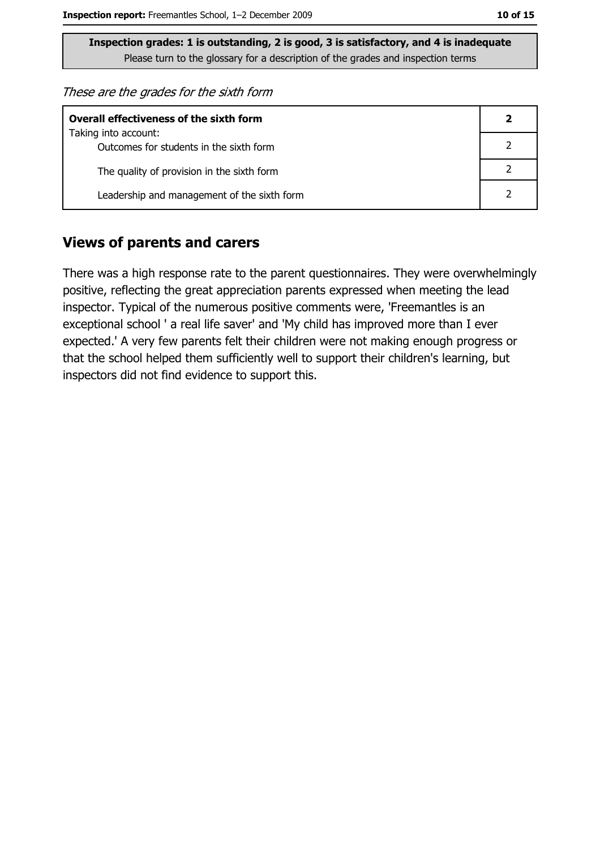These are the grades for the sixth form

| <b>Overall effectiveness of the sixth form</b>                  |  |  |  |
|-----------------------------------------------------------------|--|--|--|
| Taking into account:<br>Outcomes for students in the sixth form |  |  |  |
| The quality of provision in the sixth form                      |  |  |  |
| Leadership and management of the sixth form                     |  |  |  |

#### **Views of parents and carers**

There was a high response rate to the parent questionnaires. They were overwhelmingly positive, reflecting the great appreciation parents expressed when meeting the lead inspector. Typical of the numerous positive comments were, 'Freemantles is an exceptional school ' a real life saver' and 'My child has improved more than I ever expected.' A very few parents felt their children were not making enough progress or that the school helped them sufficiently well to support their children's learning, but inspectors did not find evidence to support this.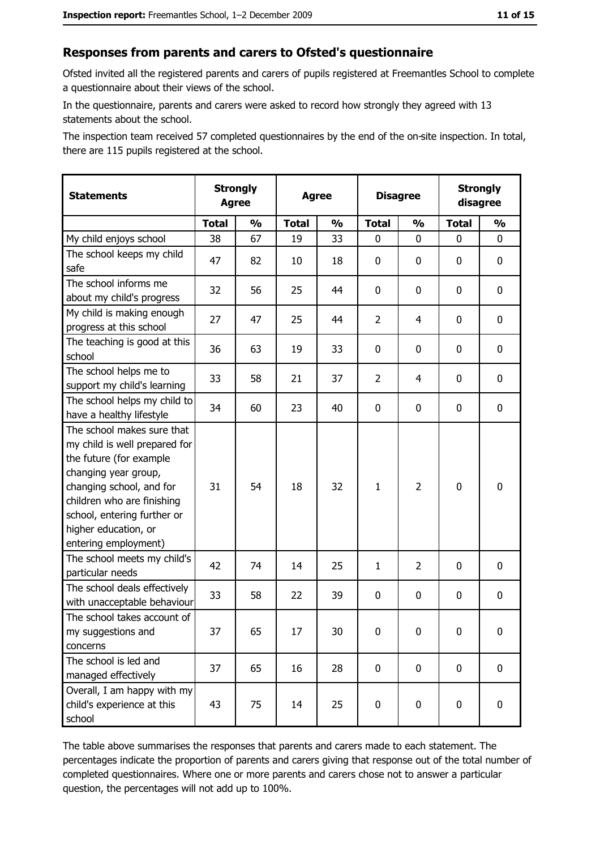#### Responses from parents and carers to Ofsted's questionnaire

Ofsted invited all the registered parents and carers of pupils registered at Freemantles School to complete a questionnaire about their views of the school.

In the questionnaire, parents and carers were asked to record how strongly they agreed with 13 statements about the school.

The inspection team received 57 completed questionnaires by the end of the on-site inspection. In total, there are 115 pupils registered at the school.

| <b>Statements</b>                                                                                                                                                                                                                                       |              | <b>Strongly</b><br><b>Agree</b> |              | <b>Agree</b>  |                | <b>Disagree</b> |              | <b>Strongly</b><br>disagree |
|---------------------------------------------------------------------------------------------------------------------------------------------------------------------------------------------------------------------------------------------------------|--------------|---------------------------------|--------------|---------------|----------------|-----------------|--------------|-----------------------------|
|                                                                                                                                                                                                                                                         | <b>Total</b> | $\frac{0}{0}$                   | <b>Total</b> | $\frac{0}{0}$ | <b>Total</b>   | $\frac{0}{0}$   | <b>Total</b> | $\frac{0}{0}$               |
| My child enjoys school                                                                                                                                                                                                                                  | 38           | 67                              | 19           | 33            | $\mathbf{0}$   | $\mathbf{0}$    | $\mathbf{0}$ | 0                           |
| The school keeps my child<br>safe                                                                                                                                                                                                                       | 47           | 82                              | 10           | 18            | $\mathbf 0$    | 0               | 0            | $\mathbf 0$                 |
| The school informs me<br>about my child's progress                                                                                                                                                                                                      | 32           | 56                              | 25           | 44            | 0              | 0               | 0            | 0                           |
| My child is making enough<br>progress at this school                                                                                                                                                                                                    | 27           | 47                              | 25           | 44            | $\overline{2}$ | 4               | 0            | 0                           |
| The teaching is good at this<br>school                                                                                                                                                                                                                  | 36           | 63                              | 19           | 33            | $\mathbf 0$    | 0               | 0            | 0                           |
| The school helps me to<br>support my child's learning                                                                                                                                                                                                   | 33           | 58                              | 21           | 37            | $\overline{2}$ | 4               | 0            | $\mathbf 0$                 |
| The school helps my child to<br>have a healthy lifestyle                                                                                                                                                                                                | 34           | 60                              | 23           | 40            | $\mathbf 0$    | 0               | 0            | $\mathbf 0$                 |
| The school makes sure that<br>my child is well prepared for<br>the future (for example<br>changing year group,<br>changing school, and for<br>children who are finishing<br>school, entering further or<br>higher education, or<br>entering employment) | 31           | 54                              | 18           | 32            | $\mathbf{1}$   | $\overline{2}$  | $\mathbf 0$  | $\bf{0}$                    |
| The school meets my child's<br>particular needs                                                                                                                                                                                                         | 42           | 74                              | 14           | 25            | $\mathbf{1}$   | 2               | 0            | $\mathbf 0$                 |
| The school deals effectively<br>with unacceptable behaviour                                                                                                                                                                                             | 33           | 58                              | 22           | 39            | $\mathbf 0$    | 0               | 0            | $\mathbf 0$                 |
| The school takes account of<br>my suggestions and<br>concerns                                                                                                                                                                                           | 37           | 65                              | 17           | 30            | $\mathbf 0$    | 0               | 0            | $\bf{0}$                    |
| The school is led and<br>managed effectively                                                                                                                                                                                                            | 37           | 65                              | 16           | 28            | $\mathbf 0$    | 0               | $\mathbf 0$  | 0                           |
| Overall, I am happy with my<br>child's experience at this<br>school                                                                                                                                                                                     | 43           | 75                              | 14           | 25            | $\pmb{0}$      | $\pmb{0}$       | $\mathbf 0$  | 0                           |

The table above summarises the responses that parents and carers made to each statement. The percentages indicate the proportion of parents and carers giving that response out of the total number of completed questionnaires. Where one or more parents and carers chose not to answer a particular question, the percentages will not add up to 100%.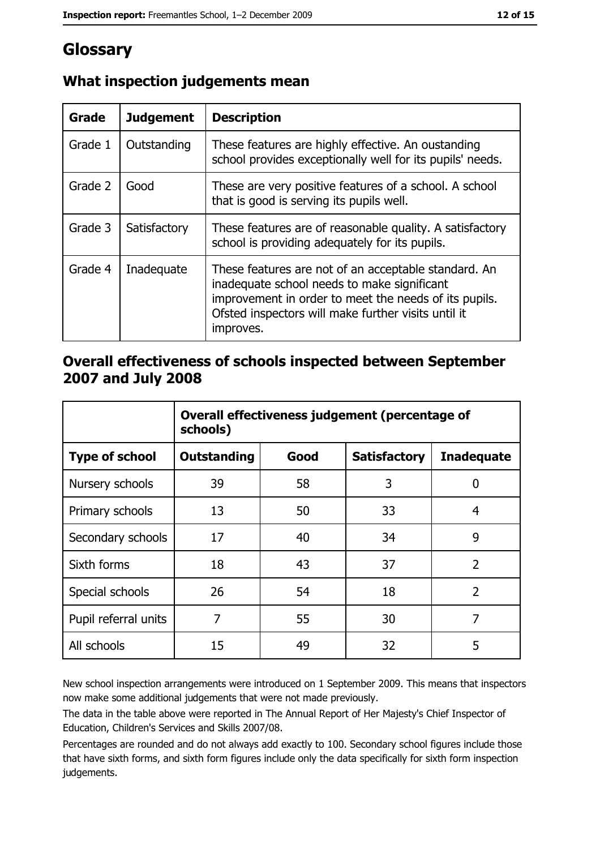# Glossary

| Grade   | <b>Judgement</b> | <b>Description</b>                                                                                                                                                                                                               |
|---------|------------------|----------------------------------------------------------------------------------------------------------------------------------------------------------------------------------------------------------------------------------|
| Grade 1 | Outstanding      | These features are highly effective. An oustanding<br>school provides exceptionally well for its pupils' needs.                                                                                                                  |
| Grade 2 | Good             | These are very positive features of a school. A school<br>that is good is serving its pupils well.                                                                                                                               |
| Grade 3 | Satisfactory     | These features are of reasonable quality. A satisfactory<br>school is providing adequately for its pupils.                                                                                                                       |
| Grade 4 | Inadequate       | These features are not of an acceptable standard. An<br>inadequate school needs to make significant<br>improvement in order to meet the needs of its pupils.<br>Ofsted inspectors will make further visits until it<br>improves. |

# What inspection judgements mean

### Overall effectiveness of schools inspected between September 2007 and July 2008

|                       | Overall effectiveness judgement (percentage of<br>schools) |      |                     |                   |  |
|-----------------------|------------------------------------------------------------|------|---------------------|-------------------|--|
| <b>Type of school</b> | <b>Outstanding</b>                                         | Good | <b>Satisfactory</b> | <b>Inadequate</b> |  |
| Nursery schools       | 39                                                         | 58   | 3                   | 0                 |  |
| Primary schools       | 13                                                         | 50   | 33                  | 4                 |  |
| Secondary schools     | 17                                                         | 40   | 34                  | 9                 |  |
| Sixth forms           | 18                                                         | 43   | 37                  | $\overline{2}$    |  |
| Special schools       | 26                                                         | 54   | 18                  | $\overline{2}$    |  |
| Pupil referral units  | 7                                                          | 55   | 30                  | 7                 |  |
| All schools           | 15                                                         | 49   | 32                  | 5                 |  |

New school inspection arrangements were introduced on 1 September 2009. This means that inspectors now make some additional judgements that were not made previously.

The data in the table above were reported in The Annual Report of Her Majesty's Chief Inspector of Education, Children's Services and Skills 2007/08.

Percentages are rounded and do not always add exactly to 100. Secondary school figures include those that have sixth forms, and sixth form figures include only the data specifically for sixth form inspection judgements.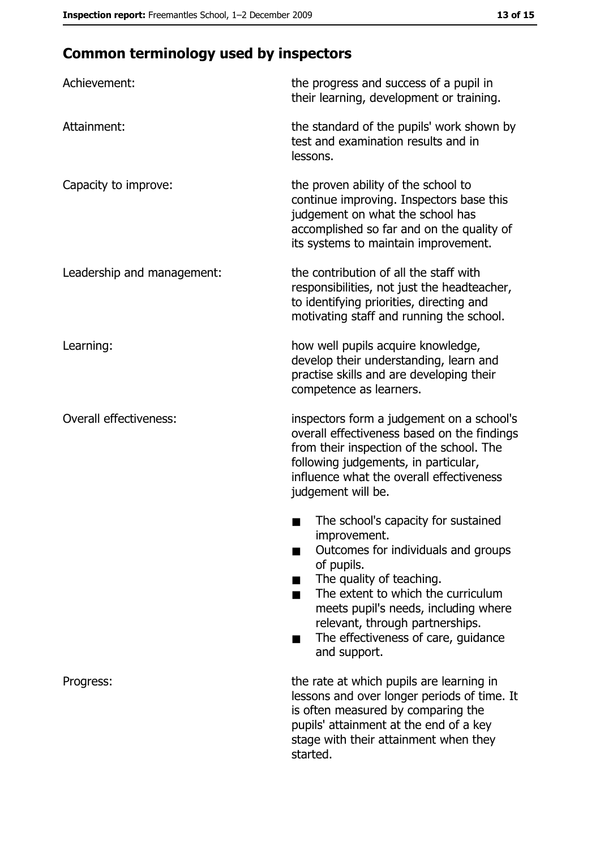# **Common terminology used by inspectors**

| Achievement:                  | the progress and success of a pupil in<br>their learning, development or training.                                                                                                                                                                                                                           |
|-------------------------------|--------------------------------------------------------------------------------------------------------------------------------------------------------------------------------------------------------------------------------------------------------------------------------------------------------------|
| Attainment:                   | the standard of the pupils' work shown by<br>test and examination results and in<br>lessons.                                                                                                                                                                                                                 |
| Capacity to improve:          | the proven ability of the school to<br>continue improving. Inspectors base this<br>judgement on what the school has<br>accomplished so far and on the quality of<br>its systems to maintain improvement.                                                                                                     |
| Leadership and management:    | the contribution of all the staff with<br>responsibilities, not just the headteacher,<br>to identifying priorities, directing and<br>motivating staff and running the school.                                                                                                                                |
| Learning:                     | how well pupils acquire knowledge,<br>develop their understanding, learn and<br>practise skills and are developing their<br>competence as learners.                                                                                                                                                          |
| <b>Overall effectiveness:</b> | inspectors form a judgement on a school's<br>overall effectiveness based on the findings<br>from their inspection of the school. The<br>following judgements, in particular,<br>influence what the overall effectiveness<br>judgement will be.                                                               |
|                               | The school's capacity for sustained<br>improvement.<br>Outcomes for individuals and groups<br>of pupils.<br>The quality of teaching.<br>The extent to which the curriculum<br>meets pupil's needs, including where<br>relevant, through partnerships.<br>The effectiveness of care, guidance<br>and support. |
| Progress:                     | the rate at which pupils are learning in<br>lessons and over longer periods of time. It<br>is often measured by comparing the<br>pupils' attainment at the end of a key<br>stage with their attainment when they<br>started.                                                                                 |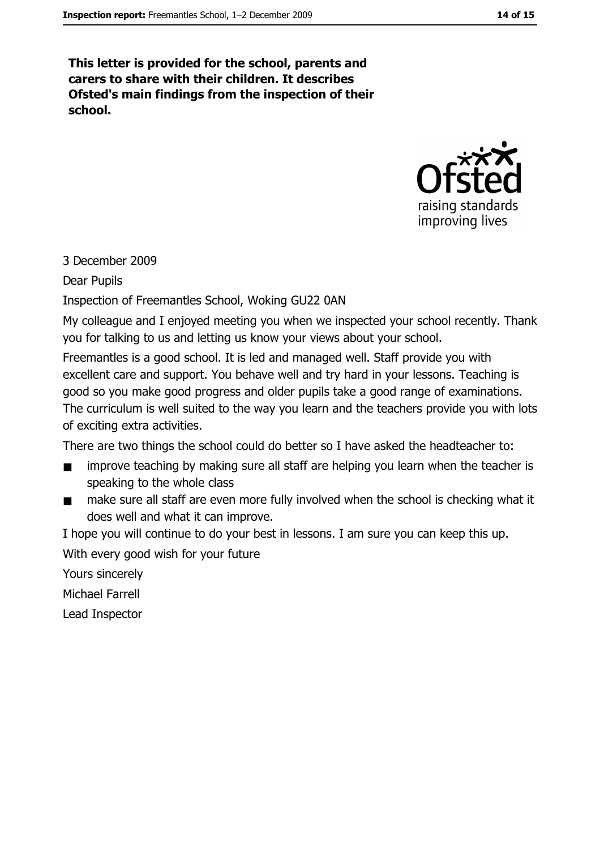This letter is provided for the school, parents and carers to share with their children. It describes Ofsted's main findings from the inspection of their school.



#### 3 December 2009

Dear Pupils

Inspection of Freemantles School, Woking GU22 0AN

My colleague and I enjoyed meeting you when we inspected your school recently. Thank you for talking to us and letting us know your views about your school.

Freemantles is a good school. It is led and managed well. Staff provide you with excellent care and support. You behave well and try hard in your lessons. Teaching is good so you make good progress and older pupils take a good range of examinations. The curriculum is well suited to the way you learn and the teachers provide you with lots of exciting extra activities.

There are two things the school could do better so I have asked the headteacher to:

- improve teaching by making sure all staff are helping you learn when the teacher is speaking to the whole class
- make sure all staff are even more fully involved when the school is checking what it  $\blacksquare$ does well and what it can improve.

I hope you will continue to do your best in lessons. I am sure you can keep this up. With every good wish for your future

Yours sincerely

Michael Farrell

Lead Inspector